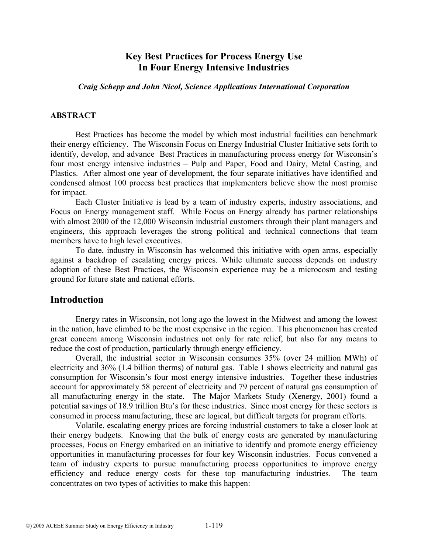# **Key Best Practices for Process Energy Use In Four Energy Intensive Industries**

#### *Craig Schepp and John Nicol, Science Applications International Corporation*

### **ABSTRACT**

Best Practices has become the model by which most industrial facilities can benchmark their energy efficiency. The Wisconsin Focus on Energy Industrial Cluster Initiative sets forth to identify, develop, and advance Best Practices in manufacturing process energy for Wisconsin's four most energy intensive industries – Pulp and Paper, Food and Dairy, Metal Casting, and Plastics. After almost one year of development, the four separate initiatives have identified and condensed almost 100 process best practices that implementers believe show the most promise for impact.

Each Cluster Initiative is lead by a team of industry experts, industry associations, and Focus on Energy management staff. While Focus on Energy already has partner relationships with almost 2000 of the 12,000 Wisconsin industrial customers through their plant managers and engineers, this approach leverages the strong political and technical connections that team members have to high level executives.

To date, industry in Wisconsin has welcomed this initiative with open arms, especially against a backdrop of escalating energy prices. While ultimate success depends on industry adoption of these Best Practices, the Wisconsin experience may be a microcosm and testing ground for future state and national efforts.

### **Introduction**

 Energy rates in Wisconsin, not long ago the lowest in the Midwest and among the lowest in the nation, have climbed to be the most expensive in the region. This phenomenon has created great concern among Wisconsin industries not only for rate relief, but also for any means to reduce the cost of production, particularly through energy efficiency.

 Overall, the industrial sector in Wisconsin consumes 35% (over 24 million MWh) of electricity and 36% (1.4 billion therms) of natural gas. Table 1 shows electricity and natural gas consumption for Wisconsin's four most energy intensive industries. Together these industries account for approximately 58 percent of electricity and 79 percent of natural gas consumption of all manufacturing energy in the state. The Major Markets Study (Xenergy, 2001) found a potential savings of 18.9 trillion Btu's for these industries. Since most energy for these sectors is consumed in process manufacturing, these are logical, but difficult targets for program efforts.

 Volatile, escalating energy prices are forcing industrial customers to take a closer look at their energy budgets. Knowing that the bulk of energy costs are generated by manufacturing processes, Focus on Energy embarked on an initiative to identify and promote energy efficiency opportunities in manufacturing processes for four key Wisconsin industries. Focus convened a team of industry experts to pursue manufacturing process opportunities to improve energy efficiency and reduce energy costs for these top manufacturing industries. The team concentrates on two types of activities to make this happen: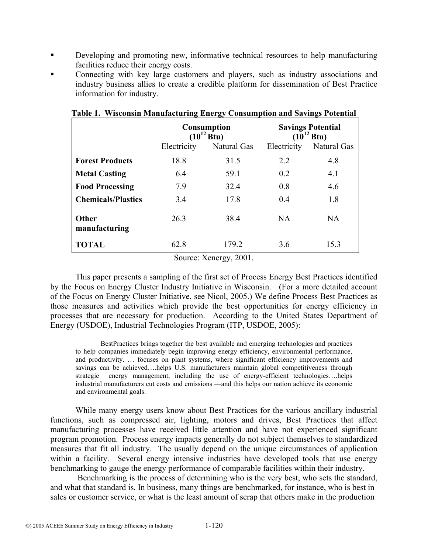- Developing and promoting new, informative technical resources to help manufacturing facilities reduce their energy costs.
- Connecting with key large customers and players, such as industry associations and industry business allies to create a credible platform for dissemination of Best Practice information for industry.

|                               |             | <b>Consumption</b><br>$(10^{12} Btu)$ | <b>Savings Potential</b><br>$(10^{12} Btu)$ |             |  |  |
|-------------------------------|-------------|---------------------------------------|---------------------------------------------|-------------|--|--|
|                               | Electricity | Natural Gas                           | Electricity                                 | Natural Gas |  |  |
| <b>Forest Products</b>        | 18.8        | 31.5                                  | 2.2                                         | 4.8         |  |  |
| <b>Metal Casting</b>          | 6.4         | 59.1                                  | 0.2                                         | 4.1         |  |  |
| <b>Food Processing</b>        | 7.9         | 32.4                                  | 0.8                                         | 4.6         |  |  |
| <b>Chemicals/Plastics</b>     | 3.4         | 17.8                                  | 0.4                                         | 1.8         |  |  |
| <b>Other</b><br>manufacturing | 26.3        | 38.4                                  | <b>NA</b>                                   | <b>NA</b>   |  |  |
| <b>TOTAL</b>                  | 62.8        | 179.2                                 | 3.6                                         | 15.3        |  |  |

|  | Table 1. Wisconsin Manufacturing Energy Consumption and Savings Potential |  |  |
|--|---------------------------------------------------------------------------|--|--|
|  |                                                                           |  |  |

Source: Xenergy, 2001.

This paper presents a sampling of the first set of Process Energy Best Practices identified by the Focus on Energy Cluster Industry Initiative in Wisconsin. (For a more detailed account of the Focus on Energy Cluster Initiative, see Nicol, 2005.) We define Process Best Practices as those measures and activities which provide the best opportunities for energy efficiency in processes that are necessary for production. According to the United States Department of Energy (USDOE), Industrial Technologies Program (ITP, USDOE, 2005):

BestPractices brings together the best available and emerging technologies and practices to help companies immediately begin improving energy efficiency, environmental performance, and productivity. … focuses on plant systems, where significant efficiency improvements and savings can be achieved….helps U.S. manufacturers maintain global competitiveness through strategic energy management, including the use of energy-efficient technologies….helps industrial manufacturers cut costs and emissions —and this helps our nation achieve its economic and environmental goals.

 While many energy users know about Best Practices for the various ancillary industrial functions, such as compressed air, lighting, motors and drives, Best Practices that affect manufacturing processes have received little attention and have not experienced significant program promotion. Process energy impacts generally do not subject themselves to standardized measures that fit all industry. The usually depend on the unique circumstances of application within a facility. Several energy intensive industries have developed tools that use energy benchmarking to gauge the energy performance of comparable facilities within their industry.

 Benchmarking is the process of determining who is the very best, who sets the standard, and what that standard is. In business, many things are benchmarked, for instance, who is best in sales or customer service, or what is the least amount of scrap that others make in the production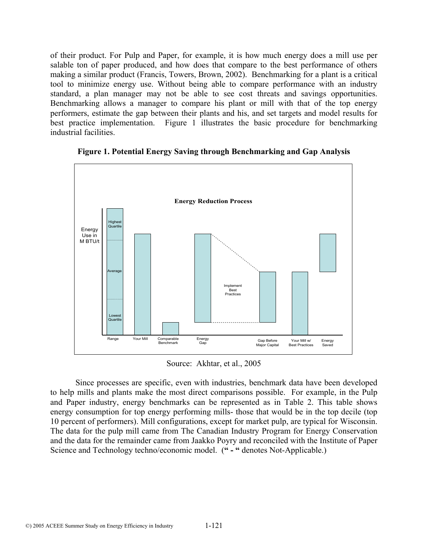of their product. For Pulp and Paper, for example, it is how much energy does a mill use per salable ton of paper produced, and how does that compare to the best performance of others making a similar product (Francis, Towers, Brown, 2002). Benchmarking for a plant is a critical tool to minimize energy use. Without being able to compare performance with an industry standard, a plan manager may not be able to see cost threats and savings opportunities. Benchmarking allows a manager to compare his plant or mill with that of the top energy performers, estimate the gap between their plants and his, and set targets and model results for best practice implementation. Figure 1 illustrates the basic procedure for benchmarking industrial facilities.



**Figure 1. Potential Energy Saving through Benchmarking and Gap Analysis**

Source: Akhtar, et al., 2005

Since processes are specific, even with industries, benchmark data have been developed to help mills and plants make the most direct comparisons possible. For example, in the Pulp and Paper industry, energy benchmarks can be represented as in Table 2. This table shows energy consumption for top energy performing mills- those that would be in the top decile (top 10 percent of performers). Mill configurations, except for market pulp, are typical for Wisconsin. The data for the pulp mill came from The Canadian Industry Program for Energy Conservation and the data for the remainder came from Jaakko Poyry and reconciled with the Institute of Paper Science and Technology techno/economic model. (**" - "** denotes Not-Applicable.)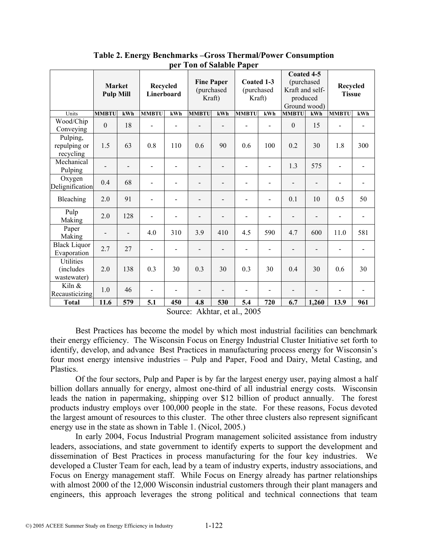|                                       | <b>Market</b><br><b>Pulp Mill</b> |                          | Recycled<br>Linerboard   |                          | <b>Fine Paper</b> | (purchased<br>Kraft) | Coated 1-3<br>(purchased<br>Kraft) |                              | Coated 4-5<br>(purchased<br>Kraft and self-<br>produced<br>Ground wood) |                              | Recycled<br><b>Tissue</b>    |                          |
|---------------------------------------|-----------------------------------|--------------------------|--------------------------|--------------------------|-------------------|----------------------|------------------------------------|------------------------------|-------------------------------------------------------------------------|------------------------------|------------------------------|--------------------------|
| Units                                 | <b>MMBTU</b>                      | kWh                      | <b>MMBTU</b>             | kWh                      | <b>MMBTU</b>      | kWh                  | <b>MMBTU</b>                       | kWh                          | <b>MMBTU</b>                                                            | kWh                          | <b>MMBTU</b>                 | kWh                      |
| Wood/Chip<br>Conveying                | $\mathbf{0}$                      | 18                       |                          |                          |                   |                      |                                    |                              | $\theta$                                                                | 15                           |                              | $\overline{a}$           |
| Pulping,<br>repulping or<br>recycling | 1.5                               | 63                       | 0.8                      | 110                      | 0.6               | 90                   | 0.6                                | 100                          | 0.2                                                                     | 30                           | 1.8                          | 300                      |
| Mechanical<br>Pulping                 |                                   |                          | $\overline{\phantom{a}}$ |                          | L.                |                      | L.                                 | $\overline{a}$               | 1.3                                                                     | 575                          |                              |                          |
| Oxygen<br>Delignification             | 0.4                               | 68                       |                          |                          | $\overline{a}$    |                      |                                    | $\qquad \qquad \blacksquare$ |                                                                         | $\overline{\phantom{a}}$     |                              |                          |
| Bleaching                             | 2.0                               | 91                       |                          | ۰                        | $\overline{a}$    |                      |                                    | $\overline{\phantom{0}}$     | 0.1                                                                     | 10                           | 0.5                          | 50                       |
| Pulp<br>Making                        | 2.0                               | 128                      | $\overline{\phantom{a}}$ | $\overline{\phantom{0}}$ |                   |                      | $\overline{\phantom{0}}$           | $\qquad \qquad \blacksquare$ |                                                                         | $\overline{a}$               | $\overline{\phantom{a}}$     | $\overline{\phantom{0}}$ |
| Paper<br>Making                       | $\overline{\phantom{a}}$          | $\overline{\phantom{a}}$ | 4.0                      | 310                      | 3.9               | 410                  | 4.5                                | 590                          | 4.7                                                                     | 600                          | 11.0                         | 581                      |
| <b>Black Liquor</b><br>Evaporation    | 2.7                               | 27                       | $\overline{\phantom{a}}$ | $\overline{a}$           |                   |                      | $\overline{\phantom{0}}$           | $\blacksquare$               |                                                                         | $\overline{a}$               |                              |                          |
| Utilities<br>(includes<br>wastewater) | 2.0                               | 138                      | 0.3                      | 30                       | 0.3               | 30                   | 0.3                                | 30                           | 0.4                                                                     | 30                           | 0.6                          | 30                       |
| Kiln &<br>Recausticizing              | 1.0                               | 46                       | $\blacksquare$           | $\blacksquare$           | $\overline{a}$    |                      | $\overline{\phantom{0}}$           | $\overline{\phantom{0}}$     | -                                                                       | $\qquad \qquad \blacksquare$ | $\qquad \qquad \blacksquare$ | $\overline{a}$           |
| <b>Total</b>                          | 11.6                              | 579                      | 5.1                      | 450                      | 4.8               | 530                  | 5.4                                | 720                          | 6.7                                                                     | 1,260                        | 13.9                         | 961                      |

**Table 2. Energy Benchmarks –Gross Thermal/Power Consumption per Ton of Salable Paper**

Source: Akhtar, et al., 2005

Best Practices has become the model by which most industrial facilities can benchmark their energy efficiency. The Wisconsin Focus on Energy Industrial Cluster Initiative set forth to identify, develop, and advance Best Practices in manufacturing process energy for Wisconsin's four most energy intensive industries – Pulp and Paper, Food and Dairy, Metal Casting, and Plastics.

Of the four sectors, Pulp and Paper is by far the largest energy user, paying almost a half billion dollars annually for energy, almost one-third of all industrial energy costs. Wisconsin leads the nation in papermaking, shipping over \$12 billion of product annually. The forest products industry employs over 100,000 people in the state. For these reasons, Focus devoted the largest amount of resources to this cluster. The other three clusters also represent significant energy use in the state as shown in Table 1. (Nicol, 2005.)

In early 2004, Focus Industrial Program management solicited assistance from industry leaders, associations, and state government to identify experts to support the development and dissemination of Best Practices in process manufacturing for the four key industries. We developed a Cluster Team for each, lead by a team of industry experts, industry associations, and Focus on Energy management staff. While Focus on Energy already has partner relationships with almost 2000 of the 12,000 Wisconsin industrial customers through their plant managers and engineers, this approach leverages the strong political and technical connections that team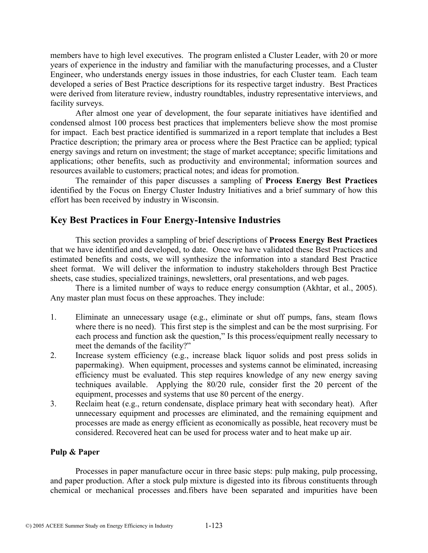members have to high level executives. The program enlisted a Cluster Leader, with 20 or more years of experience in the industry and familiar with the manufacturing processes, and a Cluster Engineer, who understands energy issues in those industries, for each Cluster team. Each team developed a series of Best Practice descriptions for its respective target industry. Best Practices were derived from literature review, industry roundtables, industry representative interviews, and facility surveys.

 After almost one year of development, the four separate initiatives have identified and condensed almost 100 process best practices that implementers believe show the most promise for impact. Each best practice identified is summarized in a report template that includes a Best Practice description; the primary area or process where the Best Practice can be applied; typical energy savings and return on investment; the stage of market acceptance; specific limitations and applications; other benefits, such as productivity and environmental; information sources and resources available to customers; practical notes; and ideas for promotion.

 The remainder of this paper discusses a sampling of **Process Energy Best Practices** identified by the Focus on Energy Cluster Industry Initiatives and a brief summary of how this effort has been received by industry in Wisconsin.

# **Key Best Practices in Four Energy-Intensive Industries**

 This section provides a sampling of brief descriptions of **Process Energy Best Practices** that we have identified and developed, to date. Once we have validated these Best Practices and estimated benefits and costs, we will synthesize the information into a standard Best Practice sheet format. We will deliver the information to industry stakeholders through Best Practice sheets, case studies, specialized trainings, newsletters, oral presentations, and web pages.

There is a limited number of ways to reduce energy consumption (Akhtar, et al., 2005). Any master plan must focus on these approaches. They include:

- 1. Eliminate an unnecessary usage (e.g., eliminate or shut off pumps, fans, steam flows where there is no need). This first step is the simplest and can be the most surprising. For each process and function ask the question," Is this process/equipment really necessary to meet the demands of the facility?"
- 2. Increase system efficiency (e.g., increase black liquor solids and post press solids in papermaking). When equipment, processes and systems cannot be eliminated, increasing efficiency must be evaluated. This step requires knowledge of any new energy saving techniques available. Applying the 80/20 rule, consider first the 20 percent of the equipment, processes and systems that use 80 percent of the energy.
- 3. Reclaim heat (e.g., return condensate, displace primary heat with secondary heat). After unnecessary equipment and processes are eliminated, and the remaining equipment and processes are made as energy efficient as economically as possible, heat recovery must be considered. Recovered heat can be used for process water and to heat make up air.

### **Pulp & Paper**

Processes in paper manufacture occur in three basic steps: pulp making, pulp processing, and paper production. After a stock pulp mixture is digested into its fibrous constituents through chemical or mechanical processes and.fibers have been separated and impurities have been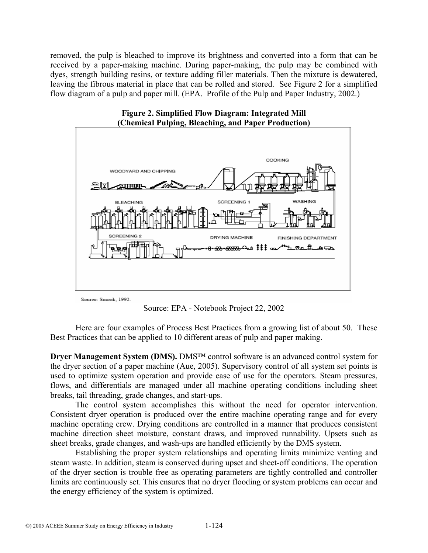removed, the pulp is bleached to improve its brightness and converted into a form that can be received by a paper-making machine. During paper-making, the pulp may be combined with dyes, strength building resins, or texture adding filler materials. Then the mixture is dewatered, leaving the fibrous material in place that can be rolled and stored. See Figure 2 for a simplified flow diagram of a pulp and paper mill. (EPA. Profile of the Pulp and Paper Industry, 2002.)



**Figure 2. Simplified Flow Diagram: Integrated Mill (Chemical Pulping, Bleaching, and Paper Production)**

Source: Smook, 1992.

Source: EPA - Notebook Project 22, 2002

Here are four examples of Process Best Practices from a growing list of about 50. These Best Practices that can be applied to 10 different areas of pulp and paper making.

**Dryer Management System (DMS).** DMS<sup>™</sup> control software is an advanced control system for the dryer section of a paper machine (Aue, 2005). Supervisory control of all system set points is used to optimize system operation and provide ease of use for the operators. Steam pressures, flows, and differentials are managed under all machine operating conditions including sheet breaks, tail threading, grade changes, and start-ups.

The control system accomplishes this without the need for operator intervention. Consistent dryer operation is produced over the entire machine operating range and for every machine operating crew. Drying conditions are controlled in a manner that produces consistent machine direction sheet moisture, constant draws, and improved runnability. Upsets such as sheet breaks, grade changes, and wash-ups are handled efficiently by the DMS system.

Establishing the proper system relationships and operating limits minimize venting and steam waste. In addition, steam is conserved during upset and sheet-off conditions. The operation of the dryer section is trouble free as operating parameters are tightly controlled and controller limits are continuously set. This ensures that no dryer flooding or system problems can occur and the energy efficiency of the system is optimized.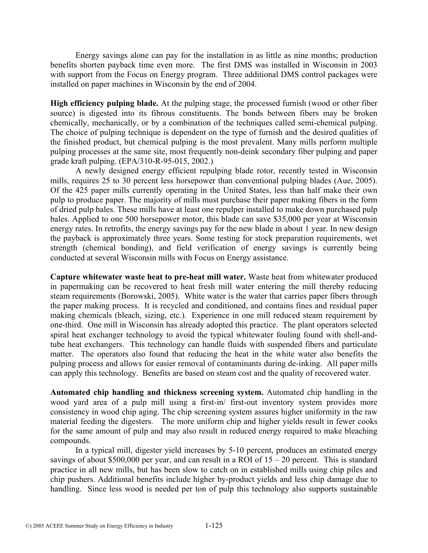Energy savings alone can pay for the installation in as little as nine months; production benefits shorten payback time even more. The first DMS was installed in Wisconsin in 2003 with support from the Focus on Energy program. Three additional DMS control packages were installed on paper machines in Wisconsin by the end of 2004.

**High efficiency pulping blade.** At the pulping stage, the processed furnish (wood or other fiber source) is digested into its fibrous constituents. The bonds between fibers may be broken chemically, mechanically, or by a combination of the techniques called semi-chemical pulping. The choice of pulping technique is dependent on the type of furnish and the desired qualities of the finished product, but chemical pulping is the most prevalent. Many mills perform multiple pulping processes at the same site, most frequently non-deink secondary fiber pulping and paper grade kraft pulping. (EPA/310-R-95-015, 2002.)

A newly designed energy efficient repulping blade rotor, recently tested in Wisconsin mills, requires 25 to 30 percent less horsepower than conventional pulping blades (Aue, 2005). Of the 425 paper mills currently operating in the United States, less than half make their own pulp to produce paper. The majority of mills must purchase their paper making fibers in the form of dried pulp bales. These mills have at least one repulper installed to make down purchased pulp bales. Applied to one 500 horsepower motor, this blade can save \$35,000 per year at Wisconsin energy rates. In retrofits, the energy savings pay for the new blade in about 1 year. In new design the payback is approximately three years. Some testing for stock preparation requirements, wet strength (chemical bonding), and field verification of energy savings is currently being conducted at several Wisconsin mills with Focus on Energy assistance.

**Capture whitewater waste heat to pre-heat mill water.** Waste heat from whitewater produced in papermaking can be recovered to heat fresh mill water entering the mill thereby reducing steam requirements (Borowski, 2005). White water is the water that carries paper fibers through the paper making process. It is recycled and conditioned, and contains fines and residual paper making chemicals (bleach, sizing, etc.). Experience in one mill reduced steam requirement by one-third. One mill in Wisconsin has already adopted this practice. The plant operators selected spiral heat exchanger technology to avoid the typical whitewater fouling found with shell-andtube heat exchangers. This technology can handle fluids with suspended fibers and particulate matter. The operators also found that reducing the heat in the white water also benefits the pulping process and allows for easier removal of contaminants during de-inking. All paper mills can apply this technology. Benefits are based on steam cost and the quality of recovered water.

**Automated chip handling and thickness screening system.** Automated chip handling in the wood yard area of a pulp mill using a first-in/ first-out inventory system provides more consistency in wood chip aging. The chip screening system assures higher uniformity in the raw material feeding the digesters. The more uniform chip and higher yields result in fewer cooks for the same amount of pulp and may also result in reduced energy required to make bleaching compounds.

 In a typical mill, digester yield increases by 5-10 percent, produces an estimated energy savings of about \$500,000 per year, and can result in a ROI of  $15 - 20$  percent. This is standard practice in all new mills, but has been slow to catch on in established mills using chip piles and chip pushers. Additional benefits include higher by-product yields and less chip damage due to handling. Since less wood is needed per ton of pulp this technology also supports sustainable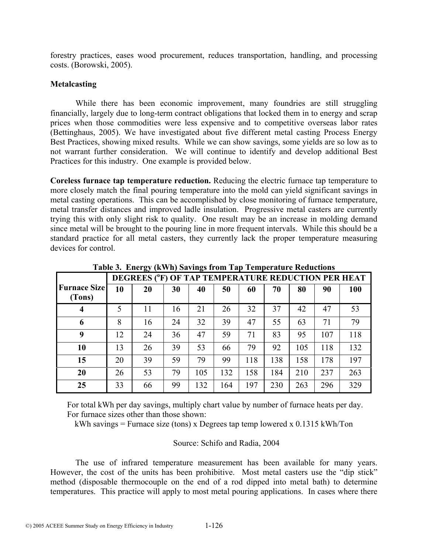forestry practices, eases wood procurement, reduces transportation, handling, and processing costs. (Borowski, 2005).

#### **Metalcasting**

While there has been economic improvement, many foundries are still struggling financially, largely due to long-term contract obligations that locked them in to energy and scrap prices when those commodities were less expensive and to competitive overseas labor rates (Bettinghaus, 2005). We have investigated about five different metal casting Process Energy Best Practices, showing mixed results. While we can show savings, some yields are so low as to not warrant further consideration. We will continue to identify and develop additional Best Practices for this industry. One example is provided below.

**Coreless furnace tap temperature reduction.** Reducing the electric furnace tap temperature to more closely match the final pouring temperature into the mold can yield significant savings in metal casting operations. This can be accomplished by close monitoring of furnace temperature, metal transfer distances and improved ladle insulation. Progressive metal casters are currently trying this with only slight risk to quality. One result may be an increase in molding demand since metal will be brought to the pouring line in more frequent intervals. While this should be a standard practice for all metal casters, they currently lack the proper temperature measuring devices for control.

|                               | DEGREES (°F) OF TAP TEMPERATURE REDUCTION PER HEAT |    |    |     |     |     |     |     |     |     |
|-------------------------------|----------------------------------------------------|----|----|-----|-----|-----|-----|-----|-----|-----|
| <b>Furnace Size</b><br>(Tons) | 10                                                 | 20 | 30 | 40  | 50  | 60  | 70  | 80  | 90  | 100 |
| $\boldsymbol{4}$              | 5                                                  | 11 | 16 | 21  | 26  | 32  | 37  | 42  | 47  | 53  |
| 6                             | 8                                                  | 16 | 24 | 32  | 39  | 47  | 55  | 63  | 71  | 79  |
| 9                             | 12                                                 | 24 | 36 | 47  | 59  | 71  | 83  | 95  | 107 | 118 |
| 10                            | 13                                                 | 26 | 39 | 53  | 66  | 79  | 92  | 105 | 118 | 132 |
| 15                            | 20                                                 | 39 | 59 | 79  | 99  | 118 | 138 | 158 | 178 | 197 |
| 20                            | 26                                                 | 53 | 79 | 105 | 132 | 158 | 184 | 210 | 237 | 263 |
| 25                            | 33                                                 | 66 | 99 | 132 | 164 | 197 | 230 | 263 | 296 | 329 |

**Table 3. Energy (kWh) Savings from Tap Temperature Reductions** 

 For total kWh per day savings, multiply chart value by number of furnace heats per day. For furnace sizes other than those shown:

kWh savings = Furnace size (tons) x Degrees tap temp lowered x 0.1315 kWh/Ton

### Source: Schifo and Radia, 2004

The use of infrared temperature measurement has been available for many years. However, the cost of the units has been prohibitive. Most metal casters use the "dip stick" method (disposable thermocouple on the end of a rod dipped into metal bath) to determine temperatures. This practice will apply to most metal pouring applications. In cases where there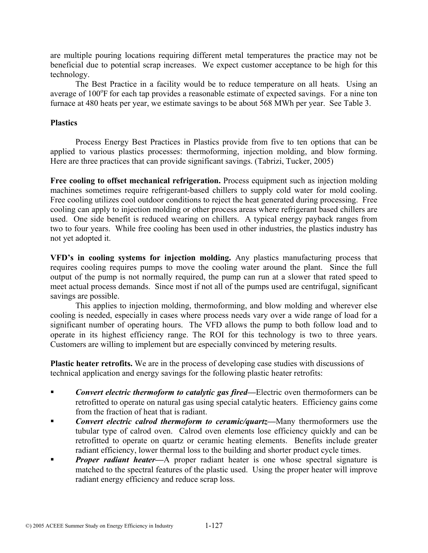are multiple pouring locations requiring different metal temperatures the practice may not be beneficial due to potential scrap increases. We expect customer acceptance to be high for this technology.

The Best Practice in a facility would be to reduce temperature on all heats. Using an average of 100°F for each tap provides a reasonable estimate of expected savings. For a nine ton furnace at 480 heats per year, we estimate savings to be about 568 MWh per year. See Table 3.

### **Plastics**

Process Energy Best Practices in Plastics provide from five to ten options that can be applied to various plastics processes: thermoforming, injection molding, and blow forming. Here are three practices that can provide significant savings. (Tabrizi, Tucker, 2005)

Free cooling to offset mechanical refrigeration. Process equipment such as injection molding machines sometimes require refrigerant-based chillers to supply cold water for mold cooling. Free cooling utilizes cool outdoor conditions to reject the heat generated during processing. Free cooling can apply to injection molding or other process areas where refrigerant based chillers are used. One side benefit is reduced wearing on chillers. A typical energy payback ranges from two to four years. While free cooling has been used in other industries, the plastics industry has not yet adopted it.

**VFD's in cooling systems for injection molding.** Any plastics manufacturing process that requires cooling requires pumps to move the cooling water around the plant. Since the full output of the pump is not normally required, the pump can run at a slower that rated speed to meet actual process demands. Since most if not all of the pumps used are centrifugal, significant savings are possible.

This applies to injection molding, thermoforming, and blow molding and wherever else cooling is needed, especially in cases where process needs vary over a wide range of load for a significant number of operating hours. The VFD allows the pump to both follow load and to operate in its highest efficiency range. The ROI for this technology is two to three years. Customers are willing to implement but are especially convinced by metering results.

**Plastic heater retrofits.** We are in the process of developing case studies with discussions of technical application and energy savings for the following plastic heater retrofits:

- *Convert electric thermoform to catalytic gas fired—Electric oven thermoformers can be* retrofitted to operate on natural gas using special catalytic heaters. Efficiency gains come from the fraction of heat that is radiant.
- *Convert electric calrod thermoform to ceramic/quartz—*Many thermoformers use the tubular type of calrod oven. Calrod oven elements lose efficiency quickly and can be retrofitted to operate on quartz or ceramic heating elements. Benefits include greater radiant efficiency, lower thermal loss to the building and shorter product cycle times.
- *Proper radiant heater—A* proper radiant heater is one whose spectral signature is matched to the spectral features of the plastic used. Using the proper heater will improve radiant energy efficiency and reduce scrap loss.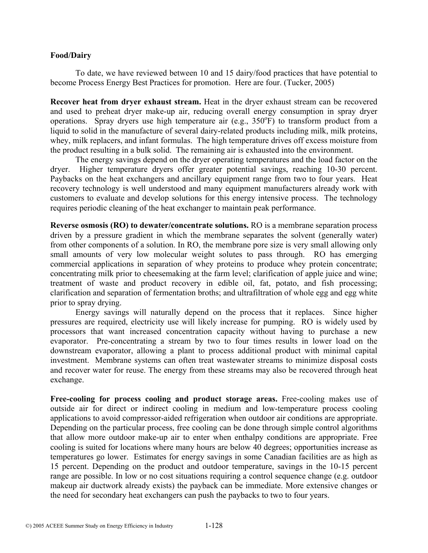#### **Food/Dairy**

To date, we have reviewed between 10 and 15 dairy/food practices that have potential to become Process Energy Best Practices for promotion. Here are four. (Tucker, 2005)

**Recover heat from dryer exhaust stream.** Heat in the dryer exhaust stream can be recovered and used to preheat dryer make-up air, reducing overall energy consumption in spray dryer operations. Spray dryers use high temperature air (e.g.,  $350^{\circ}$ F) to transform product from a liquid to solid in the manufacture of several dairy-related products including milk, milk proteins, whey, milk replacers, and infant formulas. The high temperature drives off excess moisture from the product resulting in a bulk solid. The remaining air is exhausted into the environment.

The energy savings depend on the dryer operating temperatures and the load factor on the dryer. Higher temperature dryers offer greater potential savings, reaching 10-30 percent. Paybacks on the heat exchangers and ancillary equipment range from two to four years. Heat recovery technology is well understood and many equipment manufacturers already work with customers to evaluate and develop solutions for this energy intensive process. The technology requires periodic cleaning of the heat exchanger to maintain peak performance.

**Reverse osmosis (RO) to dewater/concentrate solutions.** RO is a membrane separation process driven by a pressure gradient in which the membrane separates the solvent (generally water) from other components of a solution. In RO, the membrane pore size is very small allowing only small amounts of very low molecular weight solutes to pass through. RO has emerging commercial applications in separation of whey proteins to produce whey protein concentrate; concentrating milk prior to cheesemaking at the farm level; clarification of apple juice and wine; treatment of waste and product recovery in edible oil, fat, potato, and fish processing; clarification and separation of fermentation broths; and ultrafiltration of whole egg and egg white prior to spray drying.

Energy savings will naturally depend on the process that it replaces. Since higher pressures are required, electricity use will likely increase for pumping. RO is widely used by processors that want increased concentration capacity without having to purchase a new evaporator. Pre-concentrating a stream by two to four times results in lower load on the downstream evaporator, allowing a plant to process additional product with minimal capital investment. Membrane systems can often treat wastewater streams to minimize disposal costs and recover water for reuse. The energy from these streams may also be recovered through heat exchange.

**Free-cooling for process cooling and product storage areas.** Free-cooling makes use of outside air for direct or indirect cooling in medium and low-temperature process cooling applications to avoid compressor-aided refrigeration when outdoor air conditions are appropriate. Depending on the particular process, free cooling can be done through simple control algorithms that allow more outdoor make-up air to enter when enthalpy conditions are appropriate. Free cooling is suited for locations where many hours are below 40 degrees; opportunities increase as temperatures go lower. Estimates for energy savings in some Canadian facilities are as high as 15 percent. Depending on the product and outdoor temperature, savings in the 10-15 percent range are possible. In low or no cost situations requiring a control sequence change (e.g. outdoor makeup air ductwork already exists) the payback can be immediate. More extensive changes or the need for secondary heat exchangers can push the paybacks to two to four years.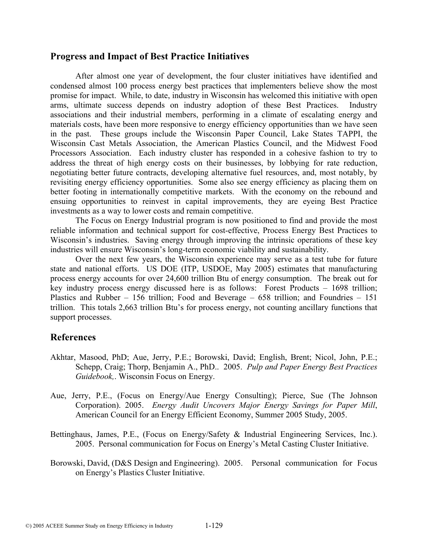# **Progress and Impact of Best Practice Initiatives**

After almost one year of development, the four cluster initiatives have identified and condensed almost 100 process energy best practices that implementers believe show the most promise for impact. While, to date, industry in Wisconsin has welcomed this initiative with open arms, ultimate success depends on industry adoption of these Best Practices. Industry associations and their industrial members, performing in a climate of escalating energy and materials costs, have been more responsive to energy efficiency opportunities than we have seen in the past. These groups include the Wisconsin Paper Council, Lake States TAPPI, the Wisconsin Cast Metals Association, the American Plastics Council, and the Midwest Food Processors Association. Each industry cluster has responded in a cohesive fashion to try to address the threat of high energy costs on their businesses, by lobbying for rate reduction, negotiating better future contracts, developing alternative fuel resources, and, most notably, by revisiting energy efficiency opportunities. Some also see energy efficiency as placing them on better footing in internationally competitive markets. With the economy on the rebound and ensuing opportunities to reinvest in capital improvements, they are eyeing Best Practice investments as a way to lower costs and remain competitive.

The Focus on Energy Industrial program is now positioned to find and provide the most reliable information and technical support for cost-effective, Process Energy Best Practices to Wisconsin's industries. Saving energy through improving the intrinsic operations of these key industries will ensure Wisconsin's long-term economic viability and sustainability.

Over the next few years, the Wisconsin experience may serve as a test tube for future state and national efforts. US DOE (ITP, USDOE, May 2005) estimates that manufacturing process energy accounts for over 24,600 trillion Btu of energy consumption. The break out for key industry process energy discussed here is as follows: Forest Products – 1698 trillion; Plastics and Rubber – 156 trillion; Food and Beverage – 658 trillion; and Foundries – 151 trillion. This totals 2,663 trillion Btu's for process energy, not counting ancillary functions that support processes.

# **References**

- Akhtar, Masood, PhD; Aue, Jerry, P.E.; Borowski, David; English, Brent; Nicol, John, P.E.; Schepp, Craig; Thorp, Benjamin A., PhD.. 2005. *Pulp and Paper Energy Best Practices Guidebook,*. Wisconsin Focus on Energy.
- Aue, Jerry, P.E., (Focus on Energy/Aue Energy Consulting); Pierce, Sue (The Johnson Corporation). 2005. *Energy Audit Uncovers Major Energy Savings for Paper Mill*, American Council for an Energy Efficient Economy, Summer 2005 Study, 2005.
- Bettinghaus, James, P.E., (Focus on Energy/Safety & Industrial Engineering Services, Inc.). 2005. Personal communication for Focus on Energy's Metal Casting Cluster Initiative.
- Borowski, David, (D&S Design and Engineering). 2005. Personal communication for Focus on Energy's Plastics Cluster Initiative.